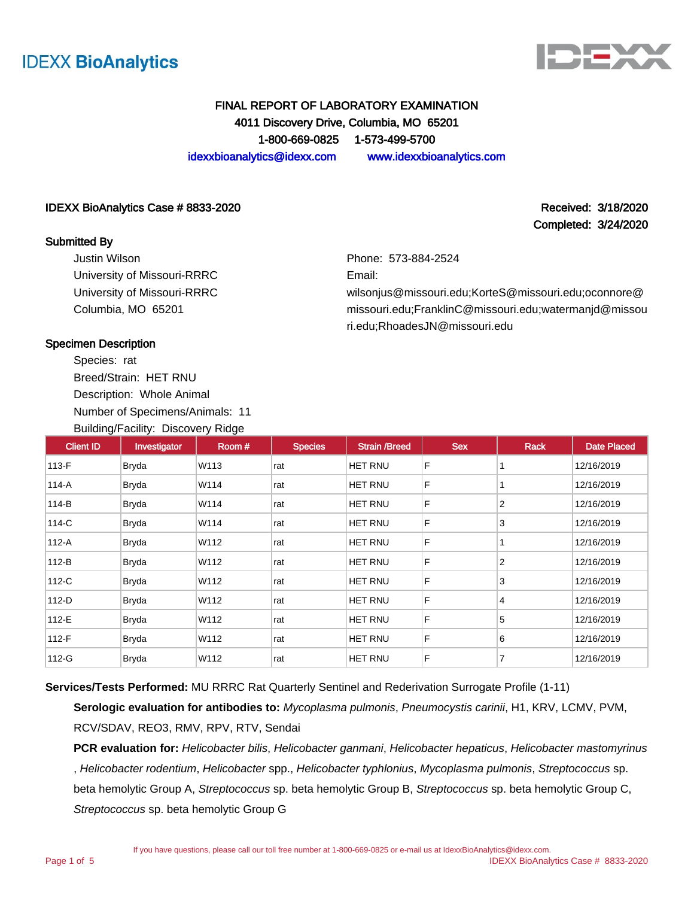



Completed: 3/24/2020

# FINAL REPORT OF LABORATORY EXAMINATION 4011 Discovery Drive, Columbia, MO 65201 1-800-669-0825 1-573-499-5700

idexxbioanalytics@idexx.com www.idexxbioanalytics.com

#### IDEXX BioAnalytics Case # 8833-2020 **Received: 3/18/2020** Received: 3/18/2020

#### Submitted By

Justin Wilson University of Missouri-RRRC University of Missouri-RRRC Columbia, MO 65201

Phone: 573-884-2524

Email:

wilsonjus@missouri.edu;KorteS@missouri.edu;oconnore@ missouri.edu;FranklinC@missouri.edu;watermanjd@missou ri.edu;RhoadesJN@missouri.edu

#### Specimen Description

Species: rat Breed/Strain: HET RNU Description: Whole Animal Number of Specimens/Animals: 11 Building/Facility: Discovery Ridge

| <b>Client ID</b> | Investigator | Room # | <b>Species</b> | <b>Strain /Breed</b> | <b>Sex</b> | Rack           | <b>Date Placed</b> |
|------------------|--------------|--------|----------------|----------------------|------------|----------------|--------------------|
| 113-F            | Bryda        | W113   | rat            | HET RNU              | F          |                | 12/16/2019         |
| 114-A            | <b>Bryda</b> | W114   | rat            | HET RNU              | F          |                | 12/16/2019         |
| 114-B            | <b>Bryda</b> | W114   | rat            | HET RNU              | F          | $\overline{2}$ | 12/16/2019         |
| 114-C            | <b>Bryda</b> | W114   | rat            | HET RNU              | F          | 3              | 12/16/2019         |
| 112-A            | <b>Bryda</b> | W112   | rat            | HET RNU              | F          |                | 12/16/2019         |
| $112-B$          | <b>Bryda</b> | W112   | rat            | HET RNU              | F          | $\overline{2}$ | 12/16/2019         |
| 112-C            | <b>Bryda</b> | W112   | rat            | HET RNU              | F          | 3              | 12/16/2019         |
| $112-D$          | <b>Bryda</b> | W112   | rat            | HET RNU              | F          | $\overline{4}$ | 12/16/2019         |
| 112-E            | <b>Bryda</b> | W112   | rat            | HET RNU              | F          | 5              | 12/16/2019         |
| 112-F            | Bryda        | W112   | rat            | HET RNU              | F          | 6              | 12/16/2019         |
| 112-G            | <b>Bryda</b> | W112   | rat            | HET RNU              | F          | 7              | 12/16/2019         |

**Services/Tests Performed:** MU RRRC Rat Quarterly Sentinel and Rederivation Surrogate Profile (1-11)

**Serologic evaluation for antibodies to:** Mycoplasma pulmonis, Pneumocystis carinii, H1, KRV, LCMV, PVM, RCV/SDAV, REO3, RMV, RPV, RTV, Sendai

PCR evaluation for: Helicobacter bilis, Helicobacter ganmani, Helicobacter hepaticus, Helicobacter mastomyrinus , Helicobacter rodentium, Helicobacter spp., Helicobacter typhlonius, Mycoplasma pulmonis, Streptococcus sp. beta hemolytic Group A, Streptococcus sp. beta hemolytic Group B, Streptococcus sp. beta hemolytic Group C, Streptococcus sp. beta hemolytic Group G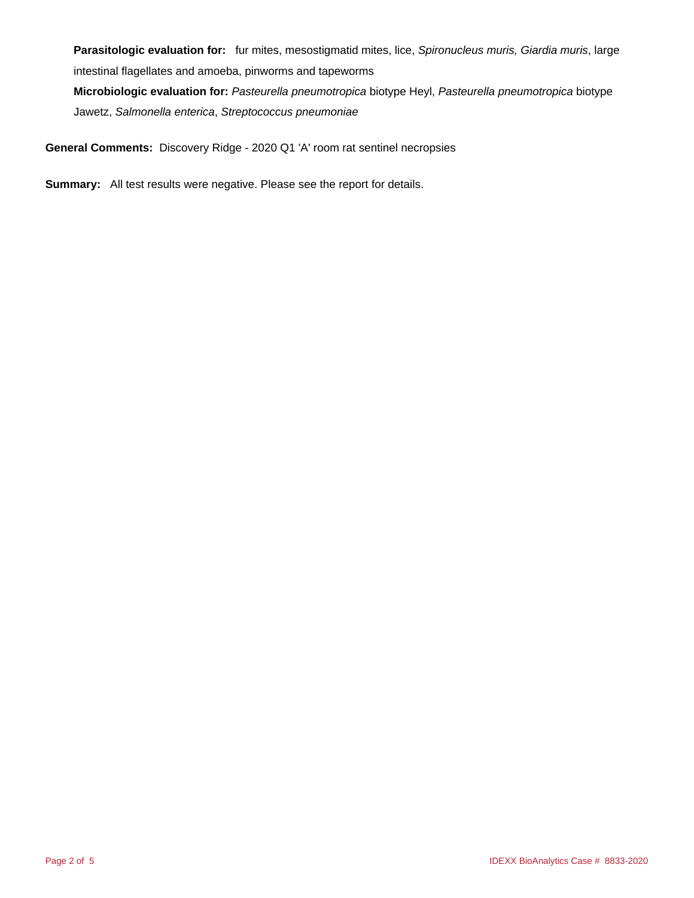Parasitologic evaluation for: fur mites, mesostigmatid mites, lice, Spironucleus muris, Giardia muris, large intestinal flagellates and amoeba, pinworms and tapeworms **Microbiologic evaluation for:** Pasteurella pneumotropica biotype Heyl, Pasteurella pneumotropica biotype

Jawetz, Salmonella enterica, Streptococcus pneumoniae

**General Comments:** Discovery Ridge - 2020 Q1 'A' room rat sentinel necropsies

**Summary:** All test results were negative. Please see the report for details.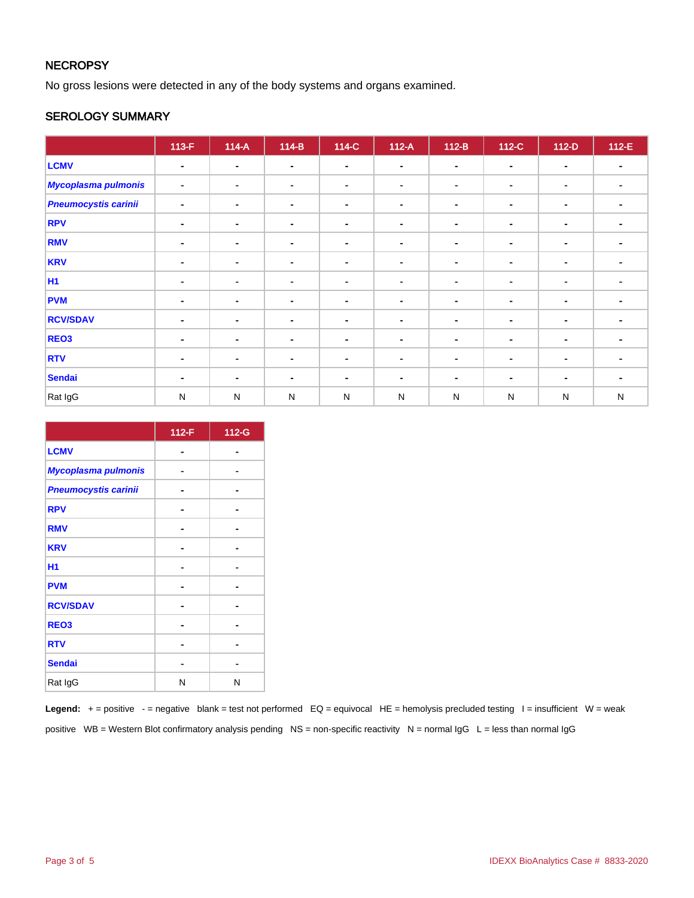# **NECROPSY**

No gross lesions were detected in any of the body systems and organs examined.

#### SEROLOGY SUMMARY

|                             | $113-F$        | $114-A$        | $114-B$        | 114-C          | $112-A$        | $112-B$        | 112-C          | $112-D$        | $112-E$                  |
|-----------------------------|----------------|----------------|----------------|----------------|----------------|----------------|----------------|----------------|--------------------------|
| <b>LCMV</b>                 | ٠              | $\blacksquare$ | $\blacksquare$ | $\blacksquare$ | $\blacksquare$ | $\blacksquare$ | $\sim$         | $\blacksquare$ |                          |
| <b>Mycoplasma pulmonis</b>  | ۰              | $\blacksquare$ | $\blacksquare$ | $\blacksquare$ | $\blacksquare$ | $\blacksquare$ | ۰              | $\blacksquare$ |                          |
| <b>Pneumocystis carinii</b> | $\blacksquare$ | $\blacksquare$ | $\blacksquare$ | $\blacksquare$ | $\blacksquare$ | $\blacksquare$ | $\blacksquare$ | $\blacksquare$ | $\overline{\phantom{a}}$ |
| <b>RPV</b>                  | $\blacksquare$ | $\blacksquare$ | $\sim$         | $\blacksquare$ |                | $\sim$         |                | $\sim$         |                          |
| <b>RMV</b>                  | $\blacksquare$ | $\blacksquare$ | $\blacksquare$ | $\blacksquare$ | $\blacksquare$ | $\sim$         | $\blacksquare$ | $\blacksquare$ |                          |
| <b>KRV</b>                  | $\blacksquare$ | $\blacksquare$ | $\blacksquare$ | $\blacksquare$ | $\blacksquare$ | $\blacksquare$ | $\blacksquare$ | $\blacksquare$ |                          |
| <b>H1</b>                   | $\blacksquare$ | $\blacksquare$ | $\blacksquare$ | $\blacksquare$ |                | $\sim$         |                | $\blacksquare$ |                          |
| <b>PVM</b>                  | $\blacksquare$ | $\blacksquare$ | $\blacksquare$ | $\blacksquare$ | $\blacksquare$ | $\sim$         | ۰              | $\blacksquare$ |                          |
| <b>RCV/SDAV</b>             | ٠              | $\blacksquare$ | $\blacksquare$ | $\blacksquare$ | $\blacksquare$ | $\sim$         | ۰              | $\blacksquare$ |                          |
| REO3                        | ٠              | $\blacksquare$ | $\sim$         | $\blacksquare$ |                | $\sim$         |                | $\blacksquare$ |                          |
| <b>RTV</b>                  | ۰              | ٠              | $\blacksquare$ | $\sim$         | $\blacksquare$ | $\blacksquare$ | ۰              | $\blacksquare$ |                          |
| <b>Sendai</b>               | ٠              | $\blacksquare$ | $\blacksquare$ | $\blacksquare$ | $\blacksquare$ | $\sim$         | $\blacksquare$ | $\blacksquare$ |                          |
| Rat IgG                     | $\mathsf{N}$   | $\mathsf{N}$   | $\mathsf{N}$   | $\mathsf{N}$   | N              | ${\sf N}$      | ${\sf N}$      | N              | ${\sf N}$                |

|                             | 112-F | 112-G |
|-----------------------------|-------|-------|
| <b>LCMV</b>                 |       |       |
| Mycoplasma pulmonis         |       |       |
| <b>Pneumocystis carinii</b> |       |       |
| <b>RPV</b>                  |       | -     |
| <b>RMV</b>                  |       |       |
| <b>KRV</b>                  |       |       |
| H1                          |       |       |
| <b>PVM</b>                  |       |       |
| <b>RCV/SDAV</b>             |       |       |
| REO <sub>3</sub>            |       |       |
| <b>RTV</b>                  |       |       |
| <b>Sendai</b>               |       |       |
| Rat IgG                     | N     | N     |

Legend: + = positive - = negative blank = test not performed EQ = equivocal HE = hemolysis precluded testing I = insufficient W = weak positive WB = Western Blot confirmatory analysis pending NS = non-specific reactivity N = normal IgG L = less than normal IgG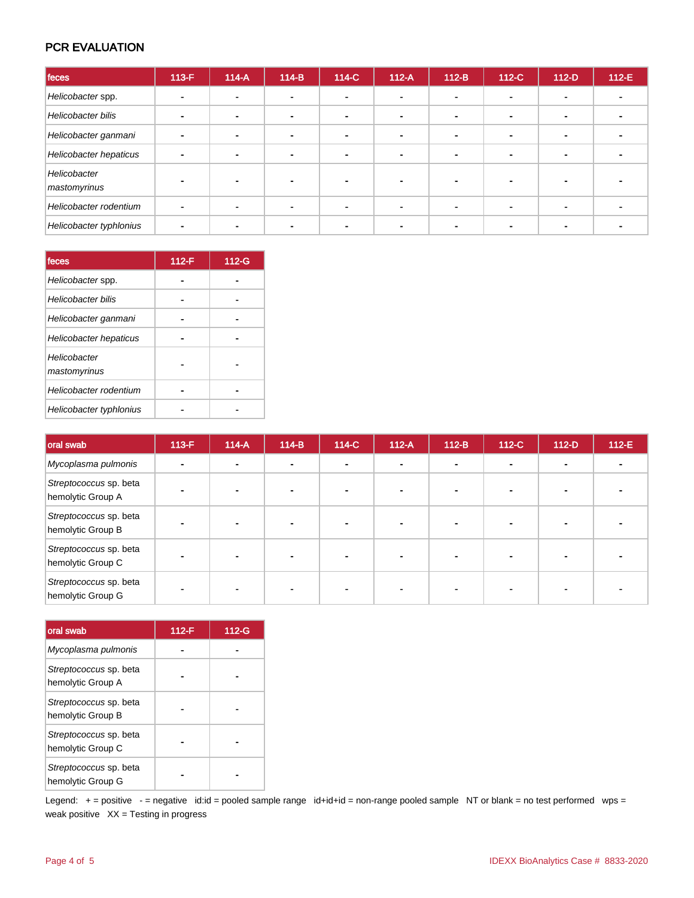## PCR EVALUATION

| feces                        | $113-F$        | $114-A$ | $114-B$        | 114-C          | $112-A$ | $112-B$ | 112-C | $112-D$        | 112-E |
|------------------------------|----------------|---------|----------------|----------------|---------|---------|-------|----------------|-------|
| Helicobacter spp.            |                |         | ٠              | $\blacksquare$ |         |         |       | $\blacksquare$ |       |
| Helicobacter bilis           |                |         | $\blacksquare$ | $\blacksquare$ |         |         |       |                |       |
| Helicobacter ganmani         | $\blacksquare$ |         | $\blacksquare$ | $\blacksquare$ |         |         |       | $\blacksquare$ |       |
| Helicobacter hepaticus       |                |         | ۰              | $\blacksquare$ |         |         |       | $\blacksquare$ |       |
| Helicobacter<br>mastomyrinus |                |         |                |                |         |         |       |                |       |
| Helicobacter rodentium       |                |         |                | $\blacksquare$ |         |         |       |                |       |
| Helicobacter typhlonius      |                |         |                |                |         |         |       |                |       |

| feces                        | $112-F$ | 112-G |
|------------------------------|---------|-------|
| Helicobacter spp.            |         |       |
| Helicobacter bilis           |         |       |
| Helicobacter ganmani         |         |       |
| Helicobacter hepaticus       |         |       |
| Helicobacter<br>mastomyrinus |         |       |
| Helicobacter rodentium       |         |       |
| Helicobacter typhlonius      |         |       |

| oral swab                                   | $113-F$ | $114-A$ | $114-B$        | 114-C          | $112-A$ | $112-B$      | 112-C | $112-D$ | 112-E |
|---------------------------------------------|---------|---------|----------------|----------------|---------|--------------|-------|---------|-------|
| Mycoplasma pulmonis                         |         |         | $\blacksquare$ | $\blacksquare$ |         | $\mathbf{r}$ |       | -       |       |
| Streptococcus sp. beta<br>hemolytic Group A |         |         |                |                |         |              |       |         |       |
| Streptococcus sp. beta<br>hemolytic Group B |         |         |                |                |         |              |       |         |       |
| Streptococcus sp. beta<br>hemolytic Group C |         |         |                |                |         |              |       |         |       |
| Streptococcus sp. beta<br>hemolytic Group G |         |         |                |                |         |              |       |         |       |

| oral swab                                   | $112-F$ | 112-G |
|---------------------------------------------|---------|-------|
| Mycoplasma pulmonis                         |         |       |
| Streptococcus sp. beta<br>hemolytic Group A |         |       |
| Streptococcus sp. beta<br>hemolytic Group B |         |       |
| Streptococcus sp. beta<br>hemolytic Group C |         |       |
| Streptococcus sp. beta<br>hemolytic Group G |         |       |

Legend: + = positive - = negative id:id = pooled sample range id+id+id = non-range pooled sample NT or blank = no test performed wps = weak positive  $XX = Testing$  in progress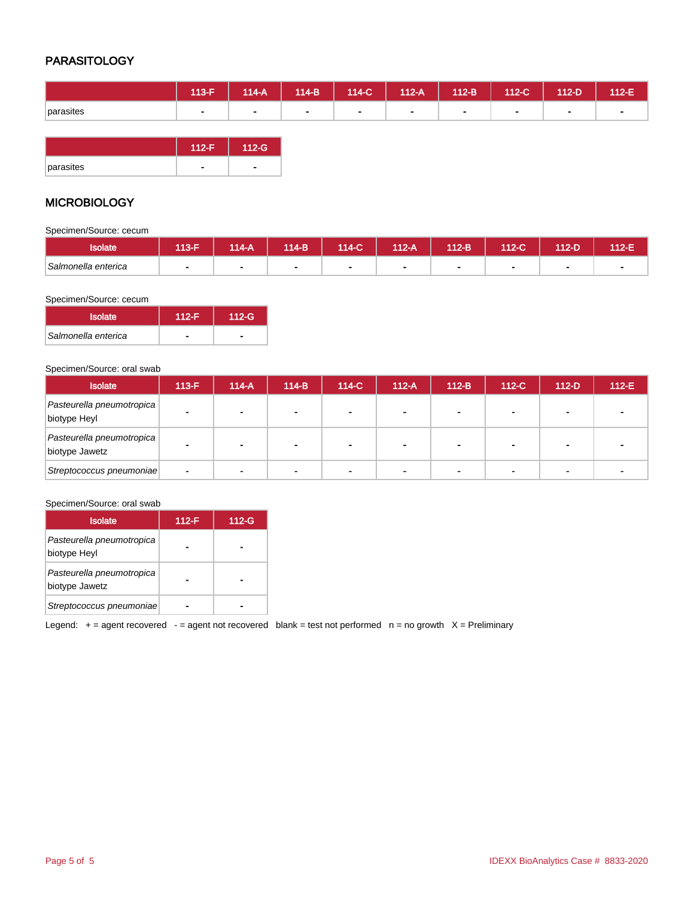# PARASITOLOGY

|           | 113-F \ | $114-A$ | $114-B$ | $114-C$      | $112-A$ | $112-B$ | $112-C$        | 112-D | 112-E |
|-----------|---------|---------|---------|--------------|---------|---------|----------------|-------|-------|
| parasites |         | $\sim$  | $\sim$  | <b>COLUM</b> | $\sim$  |         | $\blacksquare$ |       |       |

|           | $112-F$ | $112-G$ |
|-----------|---------|---------|
| parasites |         |         |

### **MICROBIOLOGY**

Specimen/Source: cecum

| solate              | 113-F | <b>M4-A</b> | 114-B | 114-C | $\sqrt{12-A}$ | $112-B$ | 112-C | $12-D$ | $12-E$ |
|---------------------|-------|-------------|-------|-------|---------------|---------|-------|--------|--------|
| Salmonella enterica |       |             |       |       |               |         |       |        |        |

#### Specimen/Source: cecum

| <b>Isolate</b>      | 112-F | $112-G$ |
|---------------------|-------|---------|
| Salmonella enterica |       |         |

#### Specimen/Source: oral swab

| <b>Isolate</b>                              | $113-F$ | $114-A$ | $114-B$ | 114-C | $112-A$        | $112-B$ | $112-C$ | $112-D$ | $112-E$ |
|---------------------------------------------|---------|---------|---------|-------|----------------|---------|---------|---------|---------|
| Pasteurella pneumotropica<br>biotype Heyl   |         | ۰       |         |       |                |         |         |         |         |
| Pasteurella pneumotropica<br>biotype Jawetz |         | ۰       |         |       | $\blacksquare$ |         |         |         |         |
| Streptococcus pneumoniae                    | ۰       |         |         |       |                |         |         |         |         |

#### Specimen/Source: oral swab

| <b>Isolate</b>                              | $112-F$ | $112-G$ |
|---------------------------------------------|---------|---------|
| Pasteurella pneumotropica<br>biotype Heyl   |         |         |
| Pasteurella pneumotropica<br>biotype Jawetz |         |         |
| Streptococcus pneumoniae                    |         |         |

Legend:  $+=$  agent recovered  $-$  = agent not recovered blank = test not performed  $n =$  no growth  $X =$  Preliminary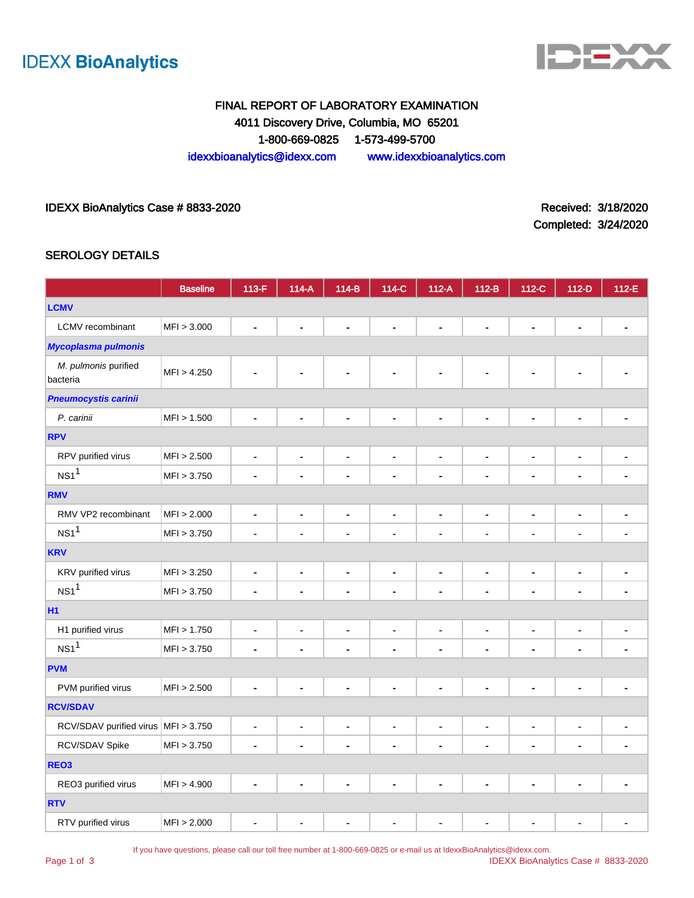



# FINAL REPORT OF LABORATORY EXAMINATION 4011 Discovery Drive, Columbia, MO 65201 1-800-669-0825 1-573-499-5700 idexxbioanalytics@idexx.com www.idexxbioanalytics.com

#### IDEXX BioAnalytics Case # 8833-2020 <br>
Received: 3/18/2020

Completed: 3/24/2020

#### SEROLOGY DETAILS

|                                     | <b>Baseline</b> | 113-F                        | $114-A$                      | $114-B$        | 114-C                        | $112-A$                      | $112-B$        | 112-C          | $112-D$                      | 112-E          |
|-------------------------------------|-----------------|------------------------------|------------------------------|----------------|------------------------------|------------------------------|----------------|----------------|------------------------------|----------------|
| <b>LCMV</b>                         |                 |                              |                              |                |                              |                              |                |                |                              |                |
| LCMV recombinant                    | MFI > 3.000     | ä,                           | ۰                            | L,             | $\blacksquare$               | $\blacksquare$               | $\blacksquare$ | $\blacksquare$ | $\blacksquare$               |                |
| <b>Mycoplasma pulmonis</b>          |                 |                              |                              |                |                              |                              |                |                |                              |                |
| M. pulmonis purified<br>bacteria    | MFI > 4.250     |                              |                              | L.             | ۰                            | $\blacksquare$               | $\blacksquare$ | $\blacksquare$ |                              |                |
| <b>Pneumocystis carinii</b>         |                 |                              |                              |                |                              |                              |                |                |                              |                |
| P. carinii                          | MFI > 1.500     | $\blacksquare$               |                              | $\blacksquare$ | Ē,                           | $\blacksquare$               | Ĭ.             | Ē.             | Ē,                           |                |
| <b>RPV</b>                          |                 |                              |                              |                |                              |                              |                |                |                              |                |
| RPV purified virus                  | MFI > 2.500     | $\overline{\phantom{0}}$     | $\blacksquare$               | $\blacksquare$ | $\blacksquare$               | $\blacksquare$               | $\blacksquare$ | $\blacksquare$ | $\qquad \qquad \blacksquare$ | $\blacksquare$ |
| NS1 <sup>1</sup>                    | MFI > 3.750     | ä,                           |                              | ä,             | ä,                           | ä,                           | ä,             | ä,             | $\blacksquare$               |                |
| <b>RMV</b>                          |                 |                              |                              |                |                              |                              |                |                |                              |                |
| RMV VP2 recombinant                 | MFI > 2.000     | $\qquad \qquad \blacksquare$ | $\blacksquare$               | $\blacksquare$ | $\blacksquare$               | $\qquad \qquad \blacksquare$ | $\blacksquare$ | $\blacksquare$ | $\blacksquare$               |                |
| NS1 <sup>1</sup>                    | MFI > 3.750     | ٠                            | $\blacksquare$               | $\blacksquare$ | $\blacksquare$               | $\blacksquare$               | $\blacksquare$ | $\blacksquare$ | $\blacksquare$               | $\blacksquare$ |
| <b>KRV</b>                          |                 |                              |                              |                |                              |                              |                |                |                              |                |
| KRV purified virus                  | MFI > 3.250     | $\blacksquare$               | $\blacksquare$               | ä,             | $\blacksquare$               | $\blacksquare$               | $\blacksquare$ | $\blacksquare$ | ä,                           |                |
| $NS1$ <sup>1</sup>                  | MFI > 3.750     | $\blacksquare$               | $\blacksquare$               | $\blacksquare$ | $\blacksquare$               | $\blacksquare$               | $\blacksquare$ | $\blacksquare$ | $\blacksquare$               | $\blacksquare$ |
| <b>H1</b>                           |                 |                              |                              |                |                              |                              |                |                |                              |                |
| H1 purified virus                   | MFI > 1.750     | $\frac{1}{2}$                | $\blacksquare$               | $\blacksquare$ | $\blacksquare$               | $\blacksquare$               | $\blacksquare$ | $\blacksquare$ | $\blacksquare$               | $\blacksquare$ |
| $NS1$ <sup>1</sup>                  | MFI > 3.750     | ۰                            | ٠                            | -              | $\blacksquare$               | $\blacksquare$               | $\blacksquare$ | $\blacksquare$ | $\blacksquare$               |                |
| <b>PVM</b>                          |                 |                              |                              |                |                              |                              |                |                |                              |                |
| PVM purified virus                  | MFI > 2.500     | $\blacksquare$               | $\blacksquare$               | L,             | $\blacksquare$               | ÷,                           | $\blacksquare$ | $\overline{a}$ | $\blacksquare$               | $\overline{a}$ |
| <b>RCV/SDAV</b>                     |                 |                              |                              |                |                              |                              |                |                |                              |                |
| RCV/SDAV purified virus MFI > 3.750 |                 | $\qquad \qquad \blacksquare$ | $\qquad \qquad \blacksquare$ | $\blacksquare$ | $\qquad \qquad \blacksquare$ | $\qquad \qquad \blacksquare$ | $\blacksquare$ | $\blacksquare$ | $\blacksquare$               | ÷,             |
| RCV/SDAV Spike                      | MFI > 3.750     |                              |                              |                | ÷                            | $\blacksquare$               |                | -              | $\blacksquare$               |                |
| REO <sub>3</sub>                    |                 |                              |                              |                |                              |                              |                |                |                              |                |
| REO3 purified virus                 | MFI > 4.900     | $\blacksquare$               | $\blacksquare$               | $\overline{a}$ | $\blacksquare$               | $\blacksquare$               | $\blacksquare$ | $\blacksquare$ | $\qquad \qquad \blacksquare$ |                |
| <b>RTV</b>                          |                 |                              |                              |                |                              |                              |                |                |                              |                |
| RTV purified virus                  | MFI > 2.000     | ä,                           | $\blacksquare$               | ä,             | $\blacksquare$               | $\blacksquare$               | $\blacksquare$ | $\overline{a}$ | L.                           |                |

If you have questions, please call our toll free number at 1-800-669-0825 or e-mail us at IdexxBioAnalytics@idexx.com.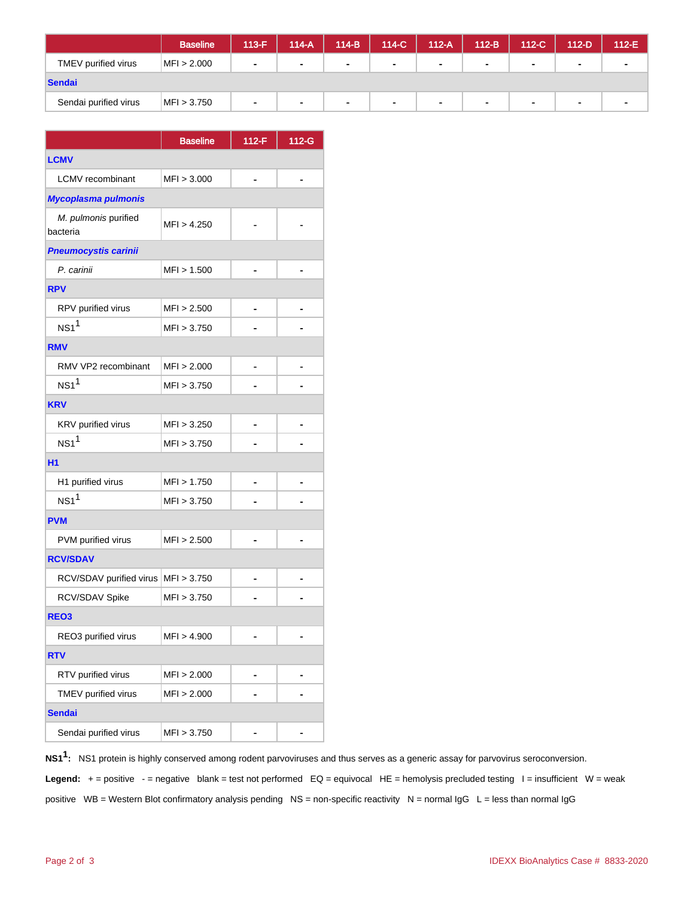|                       | <b>Baseline</b> | $113-F$ | $114-A$ | $114-B$        | 114-C  | $112-A$        | $112-B$        | 112-C          | 112-D          | $112-E$ |
|-----------------------|-----------------|---------|---------|----------------|--------|----------------|----------------|----------------|----------------|---------|
| TMEV purified virus   | MFI > 2.000     | ۰       | $\sim$  | $\blacksquare$ |        | $\blacksquare$ | $\mathbf{r}$   | $\blacksquare$ | $\sim$         |         |
| Sendai                |                 |         |         |                |        |                |                |                |                |         |
| Sendai purified virus | MFI > 3.750     | ٠       |         | ٠              | $\sim$ | ۰              | $\blacksquare$ | ٠              | $\blacksquare$ |         |

|                                  | <b>Baseline</b> | $112-F$ | $112-G$ |  |  |  |  |  |
|----------------------------------|-----------------|---------|---------|--|--|--|--|--|
| <b>LCMV</b>                      |                 |         |         |  |  |  |  |  |
| <b>LCMV</b> recombinant          | MFI > 3.000     |         |         |  |  |  |  |  |
| <b>Mycoplasma pulmonis</b>       |                 |         |         |  |  |  |  |  |
| M. pulmonis purified<br>bacteria | MFI > 4.250     |         |         |  |  |  |  |  |
| <b>Pneumocystis carinii</b>      |                 |         |         |  |  |  |  |  |
| P. carinii                       | MFI > 1.500     |         |         |  |  |  |  |  |
| <b>RPV</b>                       |                 |         |         |  |  |  |  |  |
| RPV purified virus               | MFI > 2.500     | -       |         |  |  |  |  |  |
| $NS1$ <sup>1</sup>               | MFI > 3.750     |         |         |  |  |  |  |  |
| <b>RMV</b>                       |                 |         |         |  |  |  |  |  |
| RMV VP2 recombinant              | MFI > 2.000     |         |         |  |  |  |  |  |
| $NS1$ <sup>1</sup>               | MFI > 3.750     |         |         |  |  |  |  |  |
| <b>KRV</b>                       |                 |         |         |  |  |  |  |  |
| KRV purified virus               | MFI > 3.250     |         |         |  |  |  |  |  |
| $NS1$ <sup>1</sup>               | MFI > 3.750     |         |         |  |  |  |  |  |
| H <sub>1</sub>                   |                 |         |         |  |  |  |  |  |
| H1 purified virus                | MFI > 1.750     |         |         |  |  |  |  |  |
| $NS1$ <sup>1</sup>               | MFI > 3.750     |         |         |  |  |  |  |  |
| <b>PVM</b>                       |                 |         |         |  |  |  |  |  |
| PVM purified virus               | MFI > 2.500     | -       |         |  |  |  |  |  |
| <b>RCV/SDAV</b>                  |                 |         |         |  |  |  |  |  |
| RCV/SDAV purified virus          | MFI > 3.750     |         |         |  |  |  |  |  |
| RCV/SDAV Spike                   | MFI > 3.750     |         |         |  |  |  |  |  |
| REO <sub>3</sub>                 |                 |         |         |  |  |  |  |  |
| REO3 purified virus              | MFI > 4.900     |         |         |  |  |  |  |  |
| <b>RTV</b>                       |                 |         |         |  |  |  |  |  |
| RTV purified virus               | MFI > 2.000     |         |         |  |  |  |  |  |
| TMEV purified virus              | MFI > 2.000     |         |         |  |  |  |  |  |
| <b>Sendai</b>                    |                 |         |         |  |  |  |  |  |
| Sendai purified virus            | MFI > 3.750     |         |         |  |  |  |  |  |

**NS11 :** NS1 protein is highly conserved among rodent parvoviruses and thus serves as a generic assay for parvovirus seroconversion.

Legend: + = positive - = negative blank = test not performed EQ = equivocal HE = hemolysis precluded testing I = insufficient W = weak

positive WB = Western Blot confirmatory analysis pending NS = non-specific reactivity N = normal  $\lg G$  L = less than normal  $\lg G$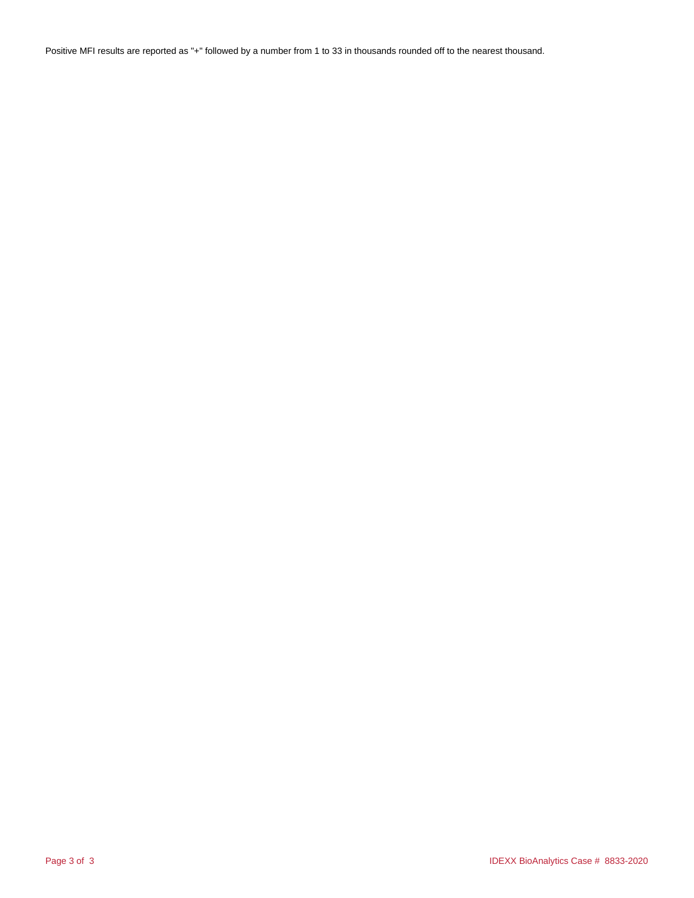Positive MFI results are reported as "+" followed by a number from 1 to 33 in thousands rounded off to the nearest thousand.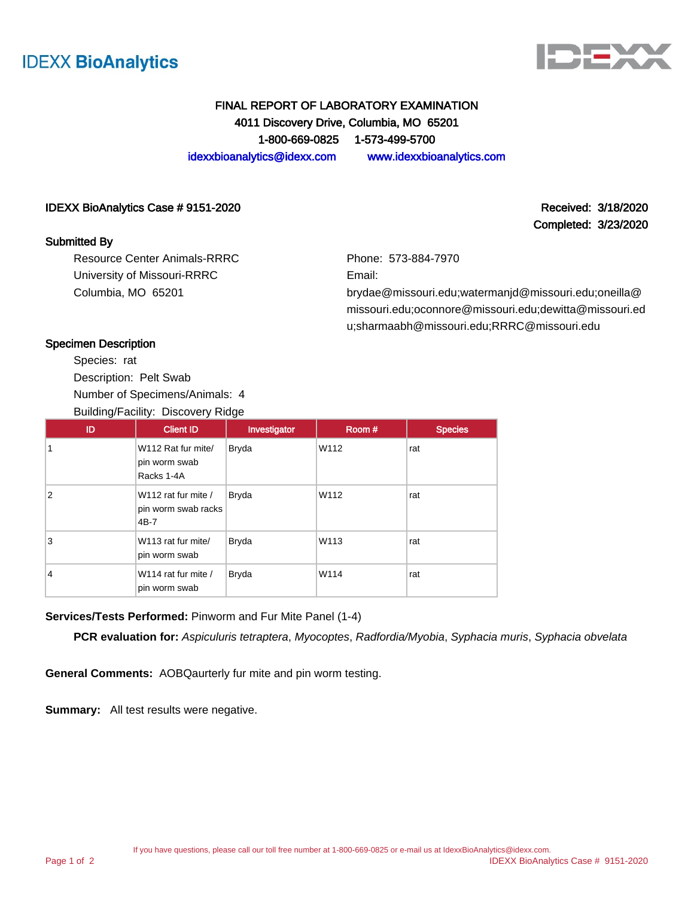



Completed: 3/23/2020

## FINAL REPORT OF LABORATORY EXAMINATION 4011 Discovery Drive, Columbia, MO 65201 1-800-669-0825 1-573-499-5700 idexxbioanalytics@idexx.com www.idexxbioanalytics.com

#### IDEXX BioAnalytics Case # 9151-2020 **Received: 3/18/2020** Received: 3/18/2020

#### Submitted By

Resource Center Animals-RRRC University of Missouri-RRRC Columbia, MO 65201

Phone: 573-884-7970

Email:

brydae@missouri.edu;watermanjd@missouri.edu;oneilla@ missouri.edu;oconnore@missouri.edu;dewitta@missouri.ed u;sharmaabh@missouri.edu;RRRC@missouri.edu

#### Specimen Description

Species: rat Description: Pelt Swab Number of Specimens/Animals: 4

Building/Facility: Discovery Ridge ID | Client ID | Investigator | Room # | Species 1 W112 Rat fur mite/ pin worm swab Racks 1-4A Bryda W112 rat 2 W112 rat fur mite / pin worm swab racks 4B-7 Bryda W112 rat 3 W113 rat fur mite/ pin worm swab Bryda W113 rat 4 W114 rat fur mite / pin worm swab Bryda W114 rat

#### **Services/Tests Performed:** Pinworm and Fur Mite Panel (1-4)

**PCR evaluation for:** Aspiculuris tetraptera, Myocoptes, Radfordia/Myobia, Syphacia muris, Syphacia obvelata

**General Comments:** AOBQaurterly fur mite and pin worm testing.

**Summary:** All test results were negative.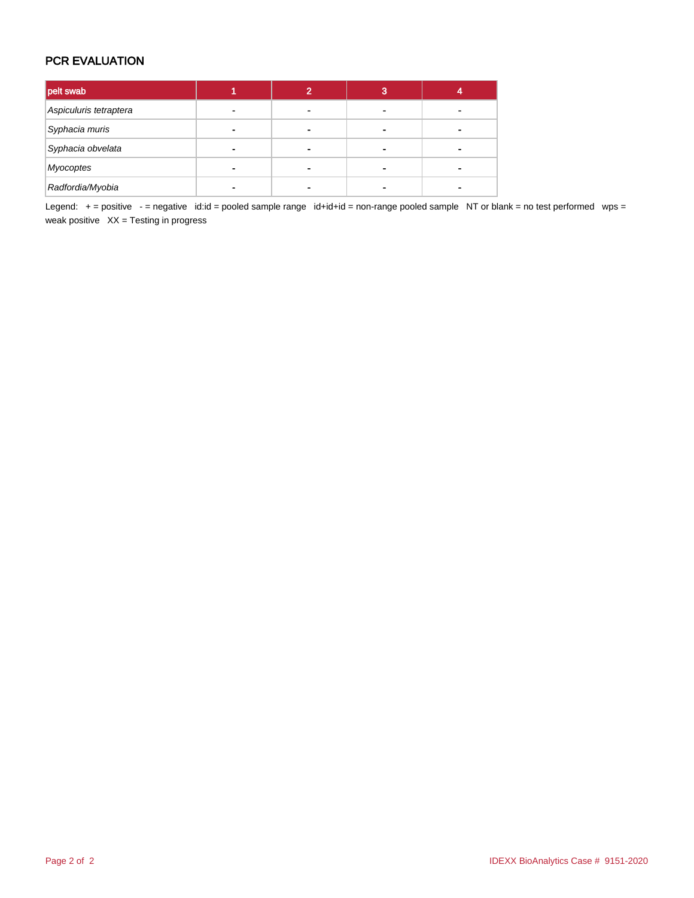## PCR EVALUATION

| pelt swab              |   |   | 3 |  |
|------------------------|---|---|---|--|
| Aspiculuris tetraptera |   | - |   |  |
| Syphacia muris         |   | ۰ |   |  |
| Syphacia obvelata      | - | - |   |  |
| Myocoptes              | ۰ | - |   |  |
| Radfordia/Myobia       |   |   |   |  |

Legend: + = positive - = negative id:id = pooled sample range id+id+id = non-range pooled sample NT or blank = no test performed wps = weak positive  $XX =$  Testing in progress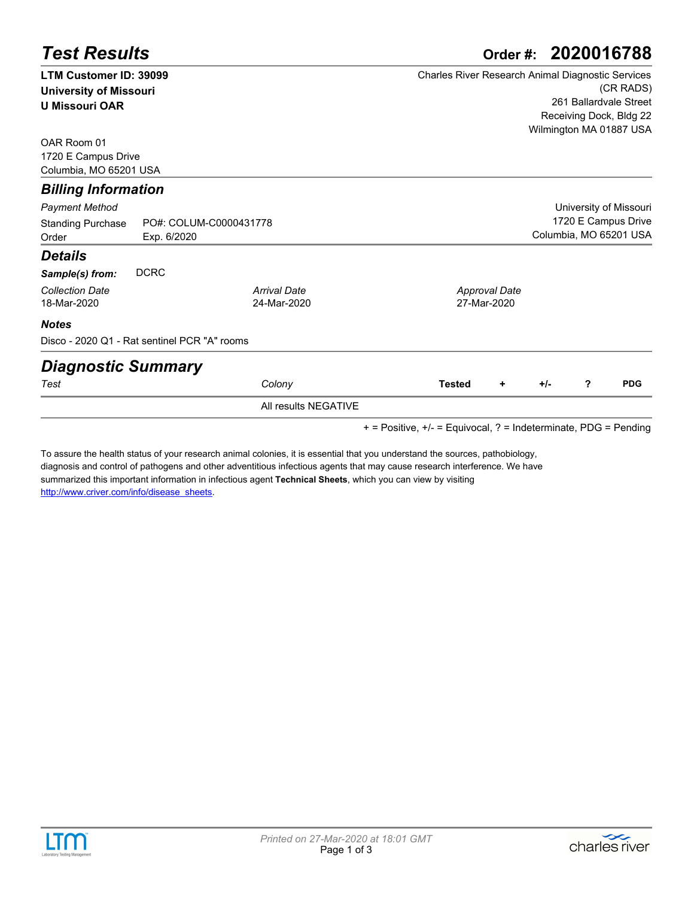| <b>Test Results</b>                          | 2020016788<br>Order #: |                      |                                                   |  |  |  |  |  |  |
|----------------------------------------------|------------------------|----------------------|---------------------------------------------------|--|--|--|--|--|--|
| <b>LTM Customer ID: 39099</b>                |                        |                      | Charles River Research Animal Diagnostic Services |  |  |  |  |  |  |
| <b>University of Missouri</b>                |                        |                      | (CR RADS)                                         |  |  |  |  |  |  |
| <b>U Missouri OAR</b>                        |                        |                      | 261 Ballardvale Street                            |  |  |  |  |  |  |
|                                              |                        |                      | Receiving Dock, Bldg 22                           |  |  |  |  |  |  |
| OAR Room 01                                  |                        |                      | Wilmington MA 01887 USA                           |  |  |  |  |  |  |
| 1720 E Campus Drive                          |                        |                      |                                                   |  |  |  |  |  |  |
| Columbia, MO 65201 USA                       |                        |                      |                                                   |  |  |  |  |  |  |
| <b>Billing Information</b>                   |                        |                      |                                                   |  |  |  |  |  |  |
| Payment Method                               |                        |                      | University of Missouri                            |  |  |  |  |  |  |
| Standing Purchase                            | PO#: COLUM-C0000431778 |                      | 1720 E Campus Drive                               |  |  |  |  |  |  |
| Order                                        | Exp. 6/2020            |                      | Columbia, MO 65201 USA                            |  |  |  |  |  |  |
| Details                                      |                        |                      |                                                   |  |  |  |  |  |  |
| Sample(s) from:                              | <b>DCRC</b>            |                      |                                                   |  |  |  |  |  |  |
| <b>Collection Date</b>                       |                        | <b>Arrival Date</b>  | <b>Approval Date</b>                              |  |  |  |  |  |  |
| 18-Mar-2020                                  |                        | 24-Mar-2020          | 27-Mar-2020                                       |  |  |  |  |  |  |
| <b>Notes</b>                                 |                        |                      |                                                   |  |  |  |  |  |  |
| Disco - 2020 Q1 - Rat sentinel PCR "A" rooms |                        |                      |                                                   |  |  |  |  |  |  |
| <b>Diagnostic Summary</b>                    |                        |                      |                                                   |  |  |  |  |  |  |
| Test                                         |                        | Colony               | <b>PDG</b><br>?<br><b>Tested</b><br>$+/-$<br>٠    |  |  |  |  |  |  |
|                                              |                        | All results NEGATIVE |                                                   |  |  |  |  |  |  |

+ = Positive, +/- = Equivocal, ? = Indeterminate, PDG = Pending

To assure the health status of your research animal colonies, it is essential that you understand the sources, pathobiology, [diagnosis and control of pathogens and other adventitious infectious agents that may cause research interference. We have](http://www.criver.com/info/disease_sheets)  summarized this important information in infectious agent **Technical Sheets**, which you can view by visiting http://www.criver.com/info/disease\_sheets.



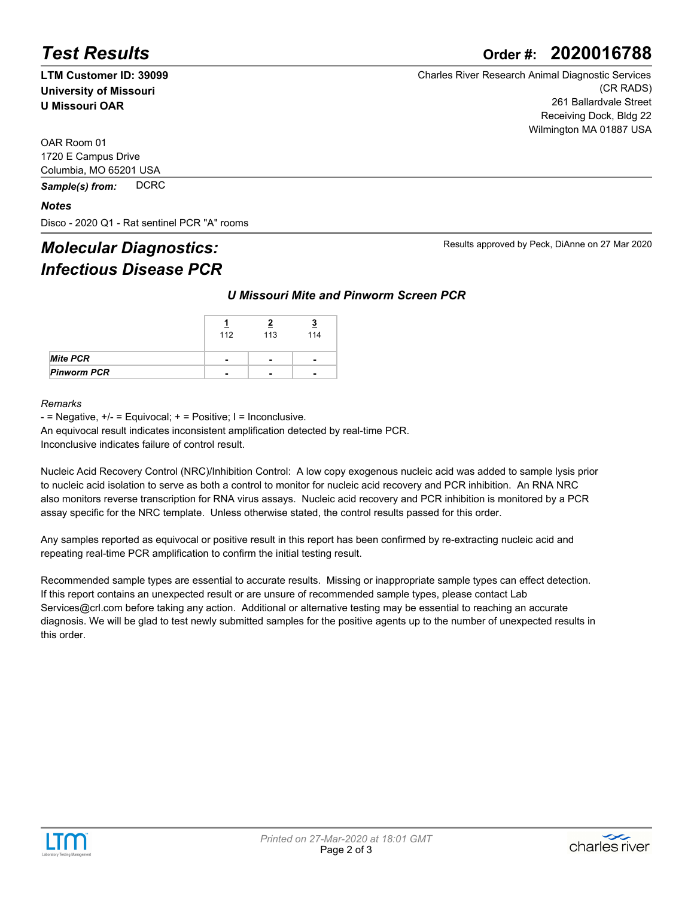# *Test Results* **Order #: 2020016788**

**LTM Customer ID: 39099 University of Missouri U Missouri OAR**

Charles River Research Animal Diagnostic Services (CR RADS) 261 Ballardvale Street Receiving Dock, Bldg 22 Wilmington MA 01887 USA

Results approved by Peck, DiAnne on 27 Mar 2020

OAR Room 01 1720 E Campus Drive Columbia, MO 65201 USA

*Sample(s) from:* DCRC

#### *Notes*

Disco - 2020 Q1 - Rat sentinel PCR "A" rooms

# *Molecular Diagnostics: Infectious Disease PCR*

#### *U Missouri Mite and Pinworm Screen PCR*

|                    | 112                      | 113                      | <u>ୁ</u><br>114 |
|--------------------|--------------------------|--------------------------|-----------------|
| <b>Mite PCR</b>    |                          | $\blacksquare$           | -               |
| <b>Pinworm PCR</b> | $\overline{\phantom{0}}$ | $\overline{\phantom{0}}$ | -               |

#### *Remarks*

 $-$  = Negative,  $+/-$  = Equivocal;  $+$  = Positive; I = Inconclusive.

An equivocal result indicates inconsistent amplification detected by real-time PCR.

Inconclusive indicates failure of control result.

Nucleic Acid Recovery Control (NRC)/Inhibition Control: A low copy exogenous nucleic acid was added to sample lysis prior to nucleic acid isolation to serve as both a control to monitor for nucleic acid recovery and PCR inhibition. An RNA NRC also monitors reverse transcription for RNA virus assays. Nucleic acid recovery and PCR inhibition is monitored by a PCR assay specific for the NRC template. Unless otherwise stated, the control results passed for this order.

Any samples reported as equivocal or positive result in this report has been confirmed by re-extracting nucleic acid and repeating real-time PCR amplification to confirm the initial testing result.

Recommended sample types are essential to accurate results. Missing or inappropriate sample types can effect detection. If this report contains an unexpected result or are unsure of recommended sample types, please contact Lab Services@crl.com before taking any action. Additional or alternative testing may be essential to reaching an accurate diagnosis. We will be glad to test newly submitted samples for the positive agents up to the number of unexpected results in this order.